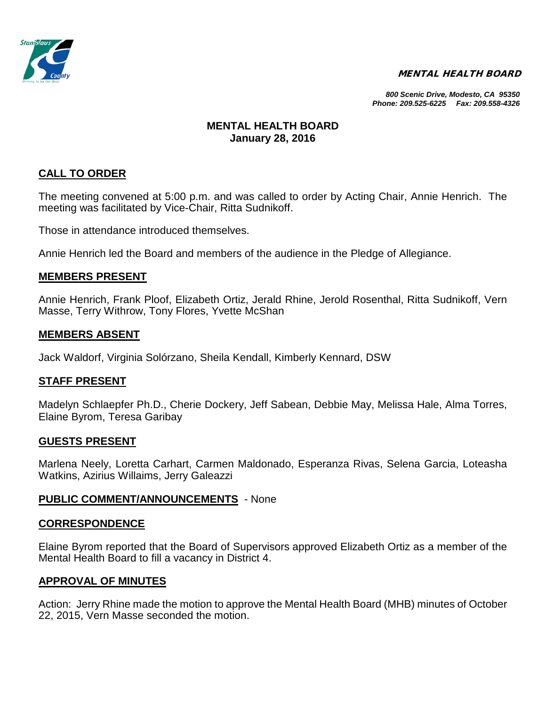

#### MENTAL HEALTH BOARD

*800 Scenic Drive, Modesto, CA 95350 Phone: 209.525-6225 Fax: 209.558-4326*

## **MENTAL HEALTH BOARD January 28, 2016**

## **CALL TO ORDER**

The meeting convened at 5:00 p.m. and was called to order by Acting Chair, Annie Henrich. The meeting was facilitated by Vice-Chair, Ritta Sudnikoff.

Those in attendance introduced themselves.

Annie Henrich led the Board and members of the audience in the Pledge of Allegiance.

### **MEMBERS PRESENT**

Annie Henrich, Frank Ploof, Elizabeth Ortiz, Jerald Rhine, Jerold Rosenthal, Ritta Sudnikoff, Vern Masse, Terry Withrow, Tony Flores, Yvette McShan

### **MEMBERS ABSENT**

Jack Waldorf, Virginia Solórzano, Sheila Kendall, Kimberly Kennard, DSW

### **STAFF PRESENT**

Madelyn Schlaepfer Ph.D., Cherie Dockery, Jeff Sabean, Debbie May, Melissa Hale, Alma Torres, Elaine Byrom, Teresa Garibay

### **GUESTS PRESENT**

Marlena Neely, Loretta Carhart, Carmen Maldonado, Esperanza Rivas, Selena Garcia, Loteasha Watkins, Azirius Willaims, Jerry Galeazzi

### **PUBLIC COMMENT/ANNOUNCEMENTS** - None

### **CORRESPONDENCE**

Elaine Byrom reported that the Board of Supervisors approved Elizabeth Ortiz as a member of the Mental Health Board to fill a vacancy in District 4.

## **APPROVAL OF MINUTES**

Action: Jerry Rhine made the motion to approve the Mental Health Board (MHB) minutes of October 22, 2015, Vern Masse seconded the motion.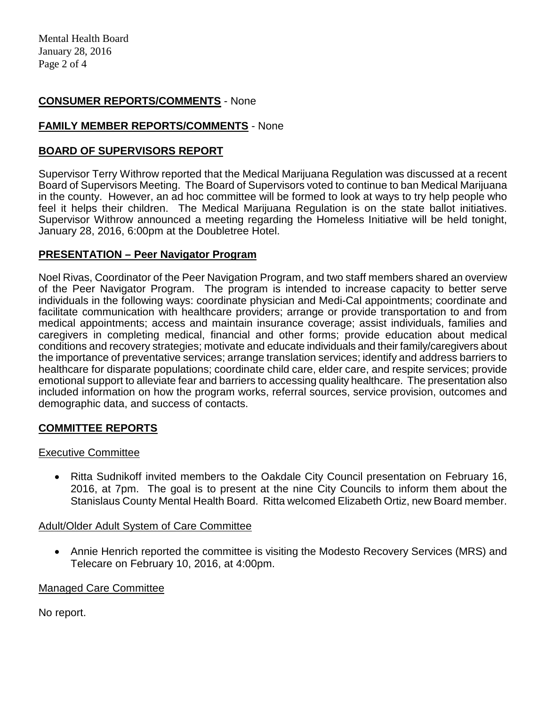## **CONSUMER REPORTS/COMMENTS** - None

## **FAMILY MEMBER REPORTS/COMMENTS** - None

## **BOARD OF SUPERVISORS REPORT**

Supervisor Terry Withrow reported that the Medical Marijuana Regulation was discussed at a recent Board of Supervisors Meeting. The Board of Supervisors voted to continue to ban Medical Marijuana in the county. However, an ad hoc committee will be formed to look at ways to try help people who feel it helps their children. The Medical Marijuana Regulation is on the state ballot initiatives. Supervisor Withrow announced a meeting regarding the Homeless Initiative will be held tonight, January 28, 2016, 6:00pm at the Doubletree Hotel.

## **PRESENTATION – Peer Navigator Program**

Noel Rivas, Coordinator of the Peer Navigation Program, and two staff members shared an overview of the Peer Navigator Program. The program is intended to increase capacity to better serve individuals in the following ways: coordinate physician and Medi-Cal appointments; coordinate and facilitate communication with healthcare providers; arrange or provide transportation to and from medical appointments; access and maintain insurance coverage; assist individuals, families and caregivers in completing medical, financial and other forms; provide education about medical conditions and recovery strategies; motivate and educate individuals and their family/caregivers about the importance of preventative services; arrange translation services; identify and address barriers to healthcare for disparate populations; coordinate child care, elder care, and respite services; provide emotional support to alleviate fear and barriers to accessing quality healthcare. The presentation also included information on how the program works, referral sources, service provision, outcomes and demographic data, and success of contacts.

# **COMMITTEE REPORTS**

## Executive Committee

• Ritta Sudnikoff invited members to the Oakdale City Council presentation on February 16, 2016, at 7pm. The goal is to present at the nine City Councils to inform them about the Stanislaus County Mental Health Board. Ritta welcomed Elizabeth Ortiz, new Board member.

## Adult/Older Adult System of Care Committee

• Annie Henrich reported the committee is visiting the Modesto Recovery Services (MRS) and Telecare on February 10, 2016, at 4:00pm.

## Managed Care Committee

No report.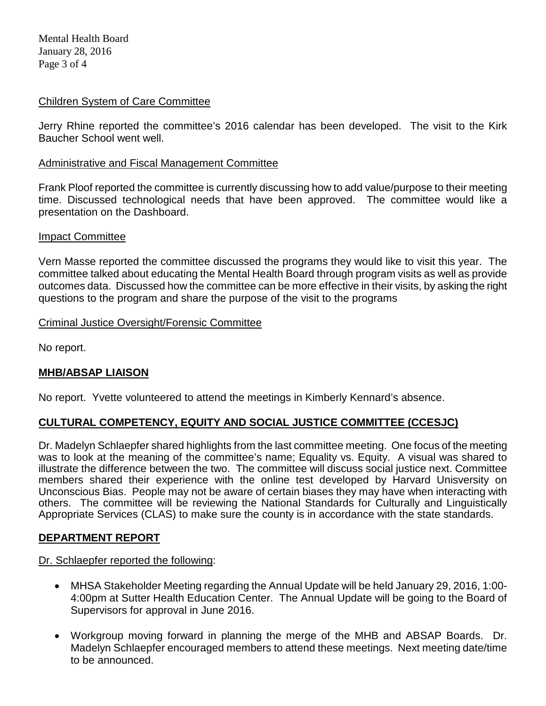Mental Health Board January 28, 2016 Page 3 of 4

## Children System of Care Committee

Jerry Rhine reported the committee's 2016 calendar has been developed. The visit to the Kirk Baucher School went well.

## Administrative and Fiscal Management Committee

Frank Ploof reported the committee is currently discussing how to add value/purpose to their meeting time. Discussed technological needs that have been approved. The committee would like a presentation on the Dashboard.

## Impact Committee

Vern Masse reported the committee discussed the programs they would like to visit this year. The committee talked about educating the Mental Health Board through program visits as well as provide outcomes data. Discussed how the committee can be more effective in their visits, by asking the right questions to the program and share the purpose of the visit to the programs

## Criminal Justice Oversight/Forensic Committee

No report.

## **MHB/ABSAP LIAISON**

No report. Yvette volunteered to attend the meetings in Kimberly Kennard's absence.

# **CULTURAL COMPETENCY, EQUITY AND SOCIAL JUSTICE COMMITTEE (CCESJC)**

Dr. Madelyn Schlaepfer shared highlights from the last committee meeting. One focus of the meeting was to look at the meaning of the committee's name; Equality vs. Equity. A visual was shared to illustrate the difference between the two. The committee will discuss social justice next. Committee members shared their experience with the online test developed by Harvard Unisversity on Unconscious Bias. People may not be aware of certain biases they may have when interacting with others. The committee will be reviewing the National Standards for Culturally and Linguistically Appropriate Services (CLAS) to make sure the county is in accordance with the state standards.

## **DEPARTMENT REPORT**

Dr. Schlaepfer reported the following:

- MHSA Stakeholder Meeting regarding the Annual Update will be held January 29, 2016, 1:00- 4:00pm at Sutter Health Education Center. The Annual Update will be going to the Board of Supervisors for approval in June 2016.
- Workgroup moving forward in planning the merge of the MHB and ABSAP Boards. Dr. Madelyn Schlaepfer encouraged members to attend these meetings. Next meeting date/time to be announced.